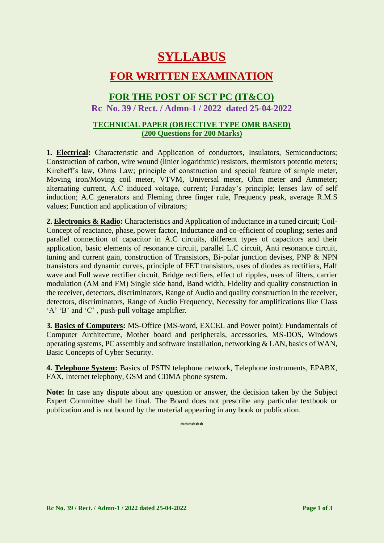# **SYLLABUS**

### **FOR WRITTEN EXAMINATION**

### **FOR THE POST OF SCT PC (IT&CO)**

**Rc No. 39 / Rect. / Admn-1 / 2022 dated 25-04-2022**

#### **TECHNICAL PAPER (OBJECTIVE TYPE OMR BASED) (200 Questions for 200 Marks)**

**1. Electrical:** Characteristic and Application of conductors, Insulators, Semiconductors; Construction of carbon, wire wound (linier logarithmic) resistors, thermistors potentio meters; Kircheff's law, Ohms Law; principle of construction and special feature of simple meter, Moving iron/Moving coil meter, VTVM, Universal meter, Ohm meter and Ammeter; alternating current, A.C induced voltage, current; Faraday's principle; lenses law of self induction; A.C generators and Fleming three finger rule, Frequency peak, average R.M.S values; Function and application of vibrators;

**2. Electronics & Radio:** Characteristics and Application of inductance in a tuned circuit; Coil-Concept of reactance, phase, power factor, Inductance and co-efficient of coupling; series and parallel connection of capacitor in A.C circuits, different types of capacitors and their application, basic elements of resonance circuit, parallel L.C circuit, Anti resonance circuit, tuning and current gain, construction of Transistors, Bi-polar junction devises, PNP & NPN transistors and dynamic curves, principle of FET transistors, uses of diodes as rectifiers, Half wave and Full wave rectifier circuit, Bridge rectifiers, effect of ripples, uses of filters, carrier modulation (AM and FM) Single side band, Band width, Fidelity and quality construction in the receiver, detectors, discriminators, Range of Audio and quality construction in the receiver, detectors, discriminators, Range of Audio Frequency, Necessity for amplifications like Class 'A' 'B' and 'C' , push-pull voltage amplifier.

**3. Basics of Computers:** MS-Office (MS-word, EXCEL and Power point): Fundamentals of Computer Architecture, Mother board and peripherals, accessories, MS-DOS, Windows operating systems, PC assembly and software installation, networking & LAN, basics of WAN, Basic Concepts of Cyber Security.

**4. Telephone System:** Basics of PSTN telephone network, Telephone instruments, EPABX, FAX, Internet telephony, GSM and CDMA phone system.

**Note:** In case any dispute about any question or answer, the decision taken by the Subject Expert Committee shall be final. The Board does not prescribe any particular textbook or publication and is not bound by the material appearing in any book or publication.

\*\*\*\*\*\*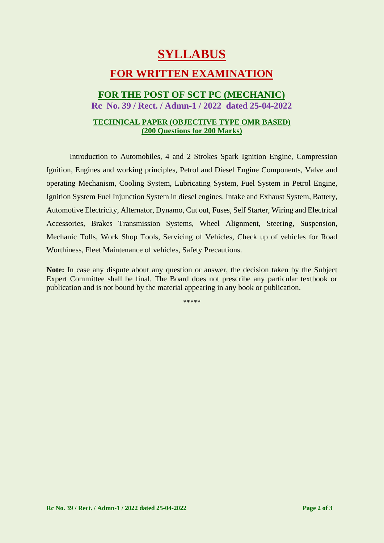# **SYLLABUS**

## **FOR WRITTEN EXAMINATION**

# **FOR THE POST OF SCT PC (MECHANIC)**

**Rc No. 39 / Rect. / Admn-1 / 2022 dated 25-04-2022**

#### **TECHNICAL PAPER (OBJECTIVE TYPE OMR BASED) (200 Questions for 200 Marks)**

Introduction to Automobiles, 4 and 2 Strokes Spark Ignition Engine, Compression Ignition, Engines and working principles, Petrol and Diesel Engine Components, Valve and operating Mechanism, Cooling System, Lubricating System, Fuel System in Petrol Engine, Ignition System Fuel Injunction System in diesel engines. Intake and Exhaust System, Battery, Automotive Electricity, Alternator, Dynamo, Cut out, Fuses, Self Starter, Wiring and Electrical Accessories, Brakes Transmission Systems, Wheel Alignment, Steering, Suspension, Mechanic Tolls, Work Shop Tools, Servicing of Vehicles, Check up of vehicles for Road Worthiness, Fleet Maintenance of vehicles, Safety Precautions.

**Note:** In case any dispute about any question or answer, the decision taken by the Subject Expert Committee shall be final. The Board does not prescribe any particular textbook or publication and is not bound by the material appearing in any book or publication.

\*\*\*\*\*